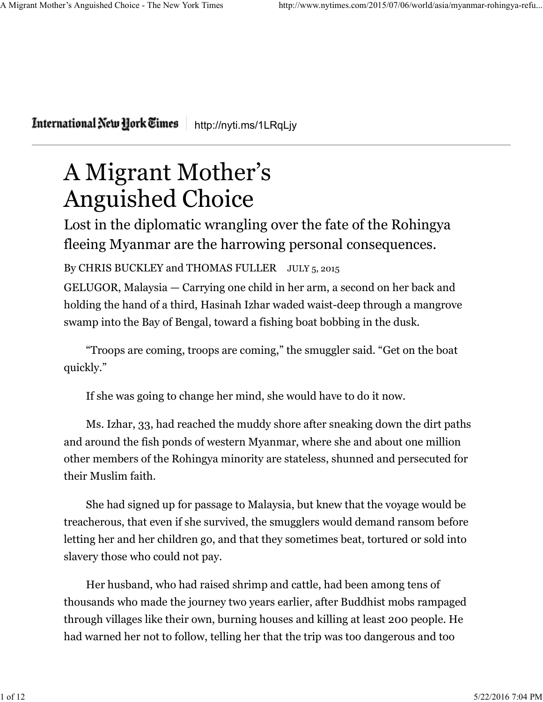#### International New Hork Times http://nyti.ms/1LRqLjy

# A Migrant Mother's Anguished Choice

Lost in the diplomatic wrangling over the fate of the Rohingya fleeing Myanmar are the harrowing personal consequences.

By CHRIS BUCKLEY and THOMAS FULLER JULY 5, 2015

GELUGOR, Malaysia — Carrying one child in her arm, a second on her back and holding the hand of a third, Hasinah Izhar waded waist-deep through a mangrove swamp into the Bay of Bengal, toward a fishing boat bobbing in the dusk.

"Troops are coming, troops are coming," the smuggler said. "Get on the boat quickly."

If she was going to change her mind, she would have to do it now.

Ms. Izhar, 33, had reached the muddy shore after sneaking down the dirt paths and around the fish ponds of western Myanmar, where she and about one million other members of the Rohingya minority are stateless, shunned and persecuted for their Muslim faith.

She had signed up for passage to Malaysia, but knew that the voyage would be treacherous, that even if she survived, the smugglers would demand ransom before letting her and her children go, and that they sometimes beat, tortured or sold into slavery those who could not pay. their Muslim faith.<br>
She had signed up for passage to Malaysia, but knew that the voyage would be<br>
treacherous, that even if she survived, the smugglers would demand ransom before<br>
letting her and her children go, and that

Her husband, who had raised shrimp and cattle, had been among tens of thousands who made the journey two years earlier, after Buddhist mobs rampaged through villages like their own, burning houses and killing at least 200 people. He had warned her not to follow, telling her that the trip was too dangerous and too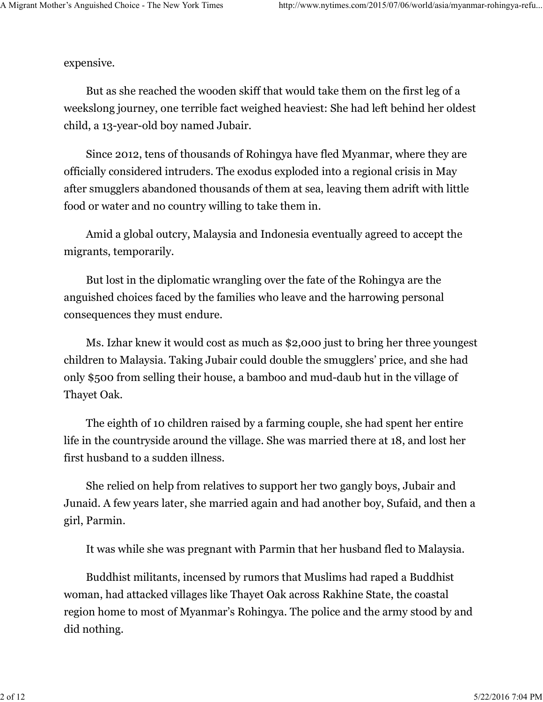expensive.

But as she reached the wooden skiff that would take them on the first leg of a weekslong journey, one terrible fact weighed heaviest: She had left behind her oldest child, a 13-year-old boy named Jubair.

Since 2012, tens of thousands of Rohingya have fled Myanmar, where they are officially considered intruders. The exodus exploded into a regional crisis in May after smugglers abandoned thousands of them at sea, leaving them adrift with little food or water and no country willing to take them in.

Amid a global outcry, Malaysia and Indonesia eventually agreed to accept the migrants, temporarily.

But lost in the diplomatic wrangling over the fate of the Rohingya are the anguished choices faced by the families who leave and the harrowing personal consequences they must endure.

Ms. Izhar knew it would cost as much as \$2,000 just to bring her three youngest children to Malaysia. Taking Jubair could double the smugglers' price, and she had only \$500 from selling their house, a bamboo and mud-daub hut in the village of Thayet Oak.

The eighth of 10 children raised by a farming couple, she had spent her entire life in the countryside around the village. She was married there at 18, and lost her first husband to a sudden illness.

She relied on help from relatives to support her two gangly boys, Jubair and Junaid. A few years later, she married again and had another boy, Sufaid, and then a girl, Parmin.

It was while she was pregnant with Parmin that her husband fled to Malaysia.

Buddhist militants, incensed by rumors that Muslims had raped a Buddhist woman, had attacked villages like Thayet Oak across Rakhine State, the coastal region home to most of Myanmar's Rohingya. The police and the army stood by and did nothing. She relied on help from relatives to support her two gangly boys, Jubair and<br>Junaid. A few years later, she married again and had another boy, Sufaid, and then a<br>girl, Parmin.<br>It was while she was pregnant with Parmin that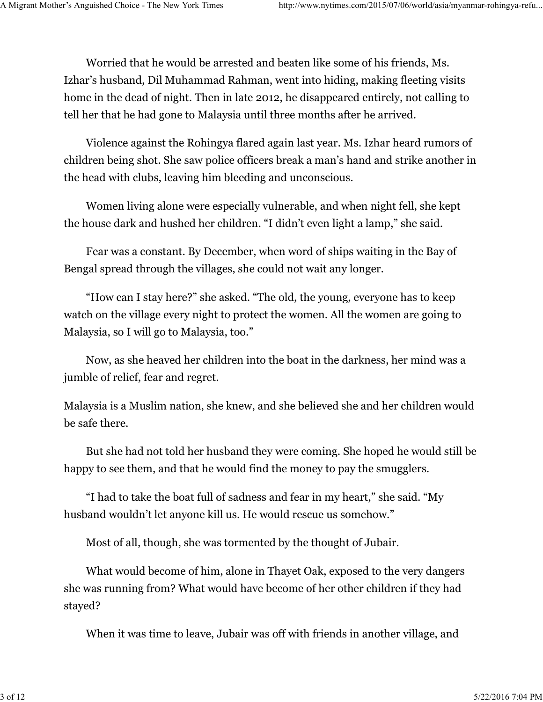Worried that he would be arrested and beaten like some of his friends, Ms. Izhar's husband, Dil Muhammad Rahman, went into hiding, making fleeting visits home in the dead of night. Then in late 2012, he disappeared entirely, not calling to tell her that he had gone to Malaysia until three months after he arrived. A Migrant Mother's Anguished Choice - The New York Times http://www.nytimes.com/2015/07/06/world/asia/myanmar-rohingya-refu...<br>Worried that he would be arrested and beaten like some of his friends Ms

> Violence against the Rohingya flared again last year. Ms. Izhar heard rumors of children being shot. She saw police officers break a man's hand and strike another in the head with clubs, leaving him bleeding and unconscious.

Women living alone were especially vulnerable, and when night fell, she kept the house dark and hushed her children. "I didn't even light a lamp," she said.

Fear was a constant. By December, when word of ships waiting in the Bay of Bengal spread through the villages, she could not wait any longer.

"How can I stay here?" she asked. "The old, the young, everyone has to keep watch on the village every night to protect the women. All the women are going to Malaysia, so I will go to Malaysia, too."

Now, as she heaved her children into the boat in the darkness, her mind was a jumble of relief, fear and regret.

Malaysia is a Muslim nation, she knew, and she believed she and her children would be safe there.

But she had not told her husband they were coming. She hoped he would still be happy to see them, and that he would find the money to pay the smugglers.

"I had to take the boat full of sadness and fear in my heart," she said. "My husband wouldn't let anyone kill us. He would rescue us somehow."

Most of all, though, she was tormented by the thought of Jubair.

What would become of him, alone in Thayet Oak, exposed to the very dangers she was running from? What would have become of her other children if they had stayed? happy to see them, and that he would find the money to pay the smugglers.<br>
"I had to take the boat full of sadness and fear in my heart," she said. "My<br>
husband wouldn't let anyone kill us. He would rescue us somehow."<br>
Mo

When it was time to leave, Jubair was off with friends in another village, and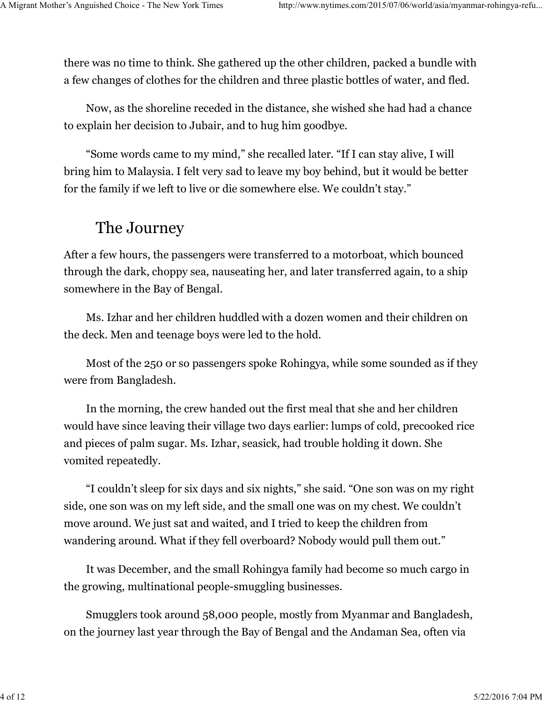there was no time to think. She gathered up the other children, packed a bundle with a few changes of clothes for the children and three plastic bottles of water, and fled. A Migrant Mother's Anguished Choice - The New York Times http://www.nytimes.com/2015/07/06/world/asia/myanmar-rohingya-refu...<br>http://www.nytimes.com/2015/07/06/world/asia/myanmar-rohingya-refu...<br>there was no time to thin

> Now, as the shoreline receded in the distance, she wished she had had a chance to explain her decision to Jubair, and to hug him goodbye.

> "Some words came to my mind," she recalled later. "If I can stay alive, I will bring him to Malaysia. I felt very sad to leave my boy behind, but it would be better for the family if we left to live or die somewhere else. We couldn't stay."

#### The Journey

After a few hours, the passengers were transferred to a motorboat, which bounced through the dark, choppy sea, nauseating her, and later transferred again, to a ship somewhere in the Bay of Bengal.

Ms. Izhar and her children huddled with a dozen women and their children on the deck. Men and teenage boys were led to the hold.

Most of the 250 or so passengers spoke Rohingya, while some sounded as if they were from Bangladesh.

In the morning, the crew handed out the first meal that she and her children would have since leaving their village two days earlier: lumps of cold, precooked rice and pieces of palm sugar. Ms. Izhar, seasick, had trouble holding it down. She vomited repeatedly.

"I couldn't sleep for six days and six nights," she said. "One son was on my right side, one son was on my left side, and the small one was on my chest. We couldn't move around. We just sat and waited, and I tried to keep the children from wandering around. What if they fell overboard? Nobody would pull them out." "I couldn't sleep for six days and six nights," she said. "One son was on my right side, one son was on my left side, and the small one was on my chest. We couldn't move around. We just sat and waited, and I tried to keep

It was December, and the small Rohingya family had become so much cargo in the growing, multinational people-smuggling businesses.

Smugglers took around 58,000 people, mostly from Myanmar and Bangladesh, on the journey last year through the Bay of Bengal and the Andaman Sea, often via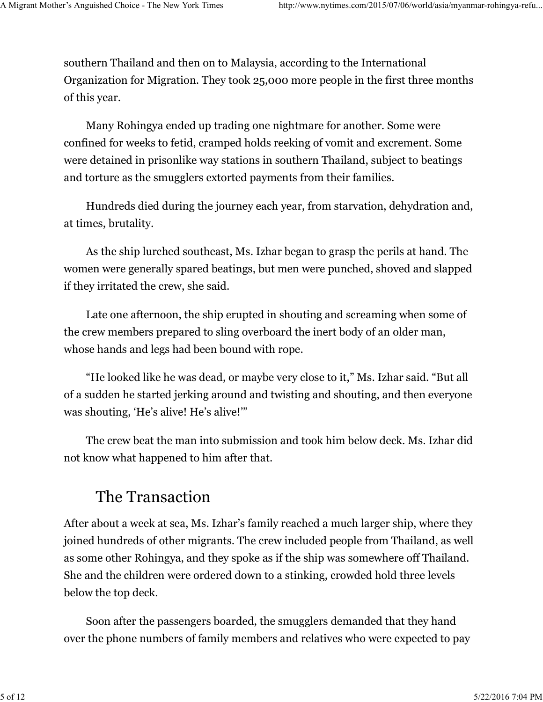southern Thailand and then on to Malaysia, according to the International Organization for Migration. They took 25,000 more people in the first three months of this year. A Migrant Mother's Anguished Choice - The New York Times http://www.nytimes.com/2015/07/06/world/asia/myanmar-rohingya-refu...<br>southern Thailand and then on to Malaysia according to the International

> Many Rohingya ended up trading one nightmare for another. Some were confined for weeks to fetid, cramped holds reeking of vomit and excrement. Some were detained in prisonlike way stations in southern Thailand, subject to beatings and torture as the smugglers extorted payments from their families.

Hundreds died during the journey each year, from starvation, dehydration and, at times, brutality.

As the ship lurched southeast, Ms. Izhar began to grasp the perils at hand. The women were generally spared beatings, but men were punched, shoved and slapped if they irritated the crew, she said.

Late one afternoon, the ship erupted in shouting and screaming when some of the crew members prepared to sling overboard the inert body of an older man, whose hands and legs had been bound with rope.

"He looked like he was dead, or maybe very close to it," Ms. Izhar said. "But all of a sudden he started jerking around and twisting and shouting, and then everyone was shouting, 'He's alive! He's alive!'"

The crew beat the man into submission and took him below deck. Ms. Izhar did not know what happened to him after that.

### The Transaction

After about a week at sea, Ms. Izhar's family reached a much larger ship, where they joined hundreds of other migrants. The crew included people from Thailand, as well as some other Rohingya, and they spoke as if the ship was somewhere off Thailand. She and the children were ordered down to a stinking, crowded hold three levels below the top deck. The Transaction<br>
After about a week at sea, Ms. Izhar's family reached a much larger ship, where they<br>
joined hundreds of other migrants. The crew included people from Thailand, as well<br>
as some other Rohingya, and they sp

Soon after the passengers boarded, the smugglers demanded that they hand over the phone numbers of family members and relatives who were expected to pay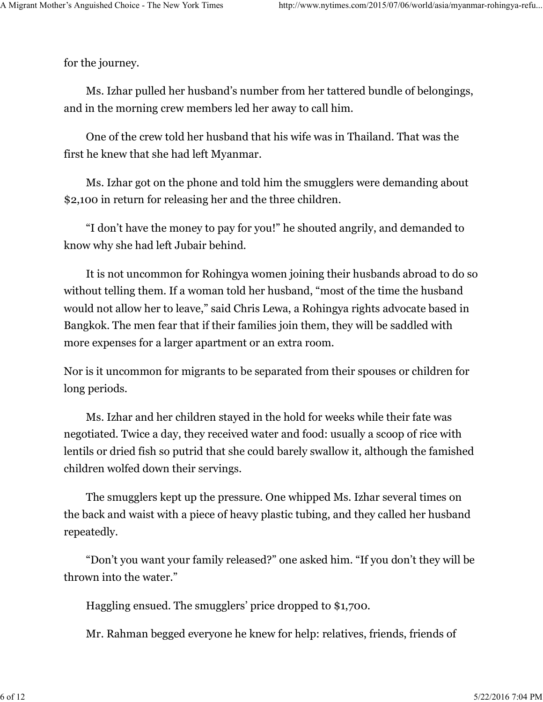for the journey.

Ms. Izhar pulled her husband's number from her tattered bundle of belongings, and in the morning crew members led her away to call him.

One of the crew told her husband that his wife was in Thailand. That was the first he knew that she had left Myanmar.

Ms. Izhar got on the phone and told him the smugglers were demanding about \$2,100 in return for releasing her and the three children.

"I don't have the money to pay for you!" he shouted angrily, and demanded to know why she had left Jubair behind.

It is not uncommon for Rohingya women joining their husbands abroad to do so without telling them. If a woman told her husband, "most of the time the husband would not allow her to leave," said Chris Lewa, a Rohingya rights advocate based in Bangkok. The men fear that if their families join them, they will be saddled with more expenses for a larger apartment or an extra room.

Nor is it uncommon for migrants to be separated from their spouses or children for long periods.

Ms. Izhar and her children stayed in the hold for weeks while their fate was negotiated. Twice a day, they received water and food: usually a scoop of rice with lentils or dried fish so putrid that she could barely swallow it, although the famished children wolfed down their servings.

The smugglers kept up the pressure. One whipped Ms. Izhar several times on the back and waist with a piece of heavy plastic tubing, and they called her husband repeatedly. children wolfed down their servings.<br>
The smugglers kept up the pressure. One whipped Ms. Izhar several times on<br>
the back and waist with a piece of heavy plastic tubing, and they called her husband<br>
repeatedly.<br>
"Don't yo

"Don't you want your family released?" one asked him. "If you don't they will be thrown into the water."

Haggling ensued. The smugglers' price dropped to \$1,700.

Mr. Rahman begged everyone he knew for help: relatives, friends, friends of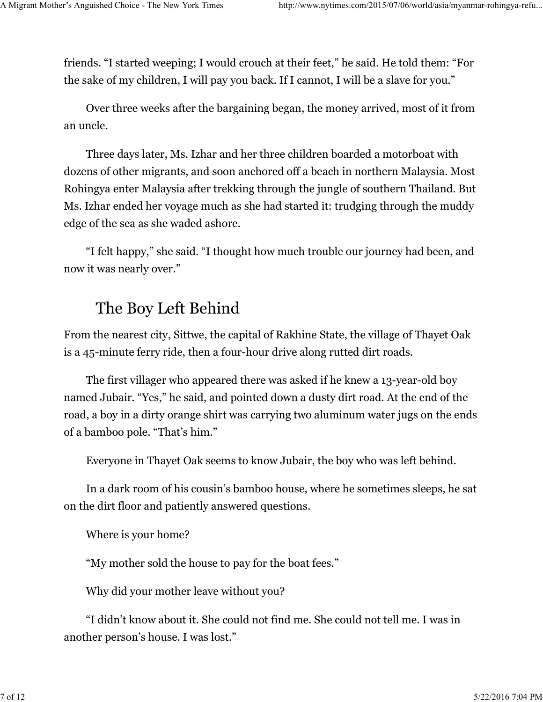friends. "I started weeping; I would crouch at their feet," he said. He told them: "For the sake of my children, I will pay you back. If I cannot, I will be a slave for you." A Migrant Mother's Anguished Choice - The New York Times http://www.nytimes.com/2015/07/06/world/asia/myanmar-rohingya-refu...<br>friends "I started weening: I would crouch at their feet " he said. He told them: "For

> Over three weeks after the bargaining began, the money arrived, most of it from an uncle.

> Three days later, Ms. Izhar and her three children boarded a motorboat with dozens of other migrants, and soon anchored off a beach in northern Malaysia. Most Rohingya enter Malaysia after trekking through the jungle of southern Thailand. But Ms. Izhar ended her voyage much as she had started it: trudging through the muddy edge of the sea as she waded ashore.

> "I felt happy," she said. "I thought how much trouble our journey had been, and now it was nearly over."

### The Boy Left Behind

From the nearest city, Sittwe, the capital of Rakhine State, the village of Thayet Oak is a 45-minute ferry ride, then a four-hour drive along rutted dirt roads.

The first villager who appeared there was asked if he knew a 13-year-old boy named Jubair. "Yes," he said, and pointed down a dusty dirt road. At the end of the road, a boy in a dirty orange shirt was carrying two aluminum water jugs on the ends of a bamboo pole. "That's him."

Everyone in Thayet Oak seems to know Jubair, the boy who was left behind.

In a dark room of his cousin's bamboo house, where he sometimes sleeps, he sat on the dirt floor and patiently answered questions. In a dark room of his cousin's bamboo house, where he sometimes sleeps, he sat<br>on the dirt floor and patiently answered questions.<br>Where is your home?<br>"My mother sold the house to pay for the boat fees."<br>Why did your moth

Where is your home?

"My mother sold the house to pay for the boat fees."

Why did your mother leave without you?

"I didn't know about it. She could not find me. She could not tell me. I was in another person's house. I was lost."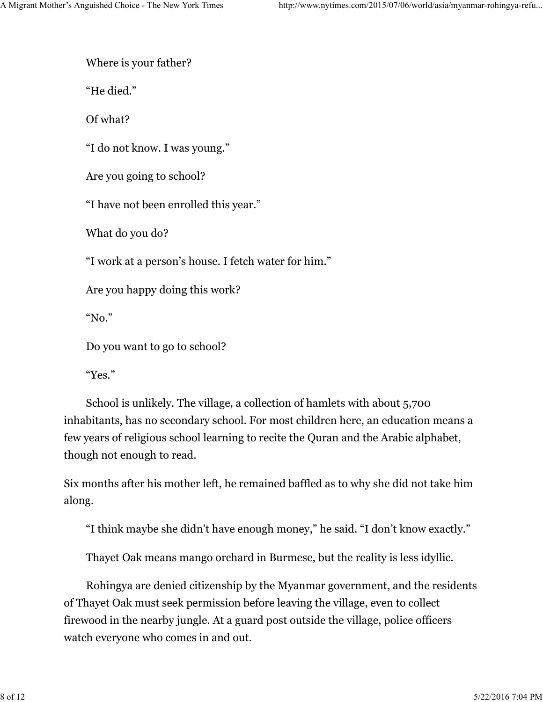Where is your father?

"He died."

Of what?

"I do not know. I was young."

Are you going to school?

"I have not been enrolled this year."

What do you do?

"I work at a person's house. I fetch water for him."

Are you happy doing this work?

"No."

Do you want to go to school?

"Yes."

School is unlikely. The village, a collection of hamlets with about 5,700 inhabitants, has no secondary school. For most children here, an education means a few years of religious school learning to recite the Quran and the Arabic alphabet, though not enough to read.

Six months after his mother left, he remained baffled as to why she did not take him along.

"I think maybe she didn't have enough money," he said. "I don't know exactly."

Thayet Oak means mango orchard in Burmese, but the reality is less idyllic.

Rohingya are denied citizenship by the Myanmar government, and the residents of Thayet Oak must seek permission before leaving the village, even to collect firewood in the nearby jungle. At a guard post outside the village, police officers watch everyone who comes in and out. Six months after his mother left, he remained baffled as to why she did not take him<br>along.<br>"I think maybe she didn't have enough money," he said. "I don't know exactly."<br>Thayet Oak means mango orchard in Burmese, but the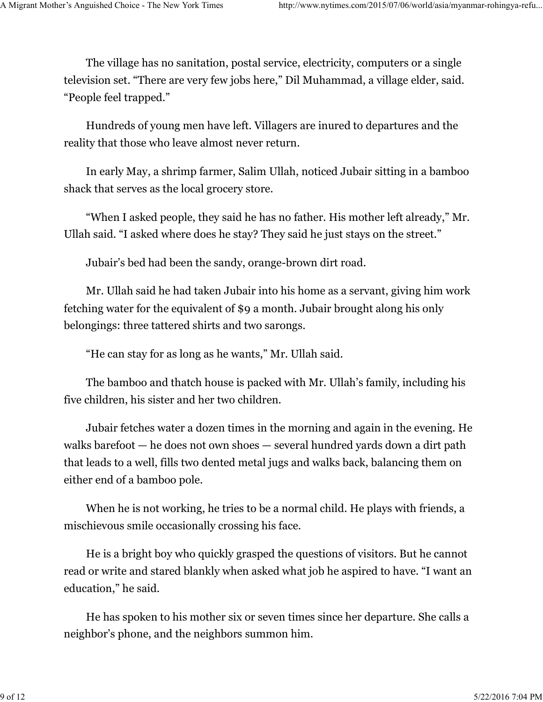The village has no sanitation, postal service, electricity, computers or a single television set. "There are very few jobs here," Dil Muhammad, a village elder, said. "People feel trapped." A Migrant Mother's Anguished Choice - The New York Times http://www.nytimes.com/2015/07/06/world/asia/myanmar-rohingya-refu...<br>The village has no sanitation postal service electricity computers or a single

> Hundreds of young men have left. Villagers are inured to departures and the reality that those who leave almost never return.

In early May, a shrimp farmer, Salim Ullah, noticed Jubair sitting in a bamboo shack that serves as the local grocery store.

"When I asked people, they said he has no father. His mother left already," Mr. Ullah said. "I asked where does he stay? They said he just stays on the street."

Jubair's bed had been the sandy, orange-brown dirt road.

Mr. Ullah said he had taken Jubair into his home as a servant, giving him work fetching water for the equivalent of \$9 a month. Jubair brought along his only belongings: three tattered shirts and two sarongs.

"He can stay for as long as he wants," Mr. Ullah said.

The bamboo and thatch house is packed with Mr. Ullah's family, including his five children, his sister and her two children.

Jubair fetches water a dozen times in the morning and again in the evening. He walks barefoot — he does not own shoes — several hundred yards down a dirt path that leads to a well, fills two dented metal jugs and walks back, balancing them on either end of a bamboo pole.

When he is not working, he tries to be a normal child. He plays with friends, a mischievous smile occasionally crossing his face.

He is a bright boy who quickly grasped the questions of visitors. But he cannot read or write and stared blankly when asked what job he aspired to have. "I want an education," he said. either end of a bamboo pole.<br>
When he is not working, he tries to be a normal child. He plays with friends, a<br>
mischievous smile occasionally crossing his face.<br>
He is a bright boy who quickly grasped the questions of visi

He has spoken to his mother six or seven times since her departure. She calls a neighbor's phone, and the neighbors summon him.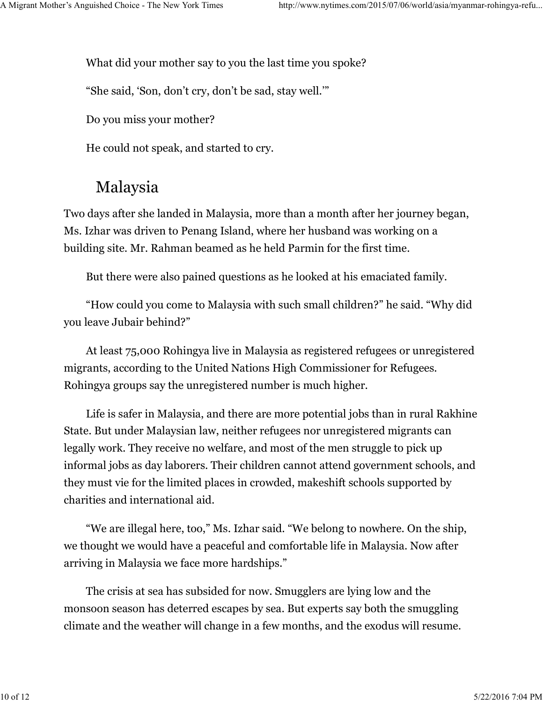What did your mother say to you the last time you spoke?

"She said, 'Son, don't cry, don't be sad, stay well.'"

Do you miss your mother?

He could not speak, and started to cry.

## Malaysia

Two days after she landed in Malaysia, more than a month after her journey began, Ms. Izhar was driven to Penang Island, where her husband was working on a building site. Mr. Rahman beamed as he held Parmin for the first time.

But there were also pained questions as he looked at his emaciated family.

"How could you come to Malaysia with such small children?" he said. "Why did you leave Jubair behind?"

At least 75,000 Rohingya live in Malaysia as registered refugees or unregistered migrants, according to the United Nations High Commissioner for Refugees. Rohingya groups say the unregistered number is much higher.

Life is safer in Malaysia, and there are more potential jobs than in rural Rakhine State. But under Malaysian law, neither refugees nor unregistered migrants can legally work. They receive no welfare, and most of the men struggle to pick up informal jobs as day laborers. Their children cannot attend government schools, and they must vie for the limited places in crowded, makeshift schools supported by charities and international aid.

"We are illegal here, too," Ms. Izhar said. "We belong to nowhere. On the ship, we thought we would have a peaceful and comfortable life in Malaysia. Now after arriving in Malaysia we face more hardships." morinal jobs as tay laooles. Then cinducent calliot attend government schools, and<br>they must vie for the limited places in crowded, makeshift schools supported by<br>charities and international aid.<br>"We are illegal here, too,

The crisis at sea has subsided for now. Smugglers are lying low and the monsoon season has deterred escapes by sea. But experts say both the smuggling climate and the weather will change in a few months, and the exodus will resume.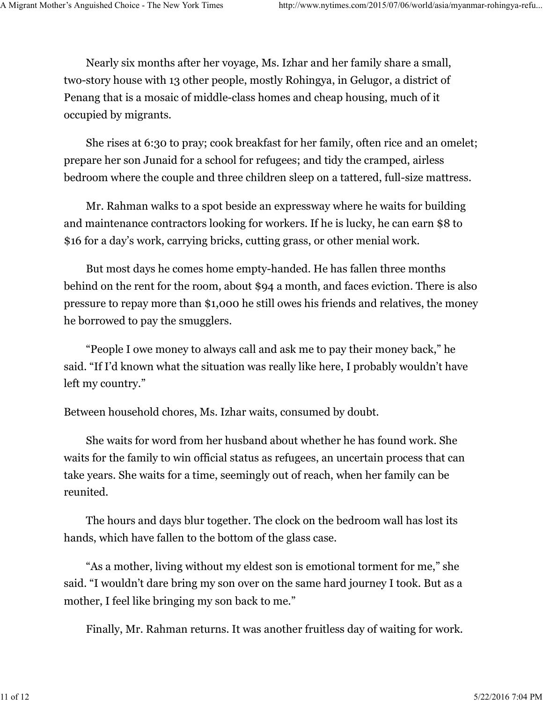Nearly six months after her voyage, Ms. Izhar and her family share a small, two-story house with 13 other people, mostly Rohingya, in Gelugor, a district of Penang that is a mosaic of middle-class homes and cheap housing, much of it occupied by migrants. A Migrant Mother's Anguished Choice - The New York Times http://www.nytimes.com/2015/07/06/world/asia/myanmar-rohingya-refu...<br>Nearly six months after her yovage Ms. Izhar and her family share a small

> She rises at 6:30 to pray; cook breakfast for her family, often rice and an omelet; prepare her son Junaid for a school for refugees; and tidy the cramped, airless bedroom where the couple and three children sleep on a tattered, full-size mattress.

Mr. Rahman walks to a spot beside an expressway where he waits for building and maintenance contractors looking for workers. If he is lucky, he can earn \$8 to \$16 for a day's work, carrying bricks, cutting grass, or other menial work.

But most days he comes home empty-handed. He has fallen three months behind on the rent for the room, about \$94 a month, and faces eviction. There is also pressure to repay more than \$1,000 he still owes his friends and relatives, the money he borrowed to pay the smugglers.

"People I owe money to always call and ask me to pay their money back," he said. "If I'd known what the situation was really like here, I probably wouldn't have left my country."

Between household chores, Ms. Izhar waits, consumed by doubt.

She waits for word from her husband about whether he has found work. She waits for the family to win official status as refugees, an uncertain process that can take years. She waits for a time, seemingly out of reach, when her family can be reunited.

The hours and days blur together. The clock on the bedroom wall has lost its hands, which have fallen to the bottom of the glass case.

"As a mother, living without my eldest son is emotional torment for me," she said. "I wouldn't dare bring my son over on the same hard journey I took. But as a mother, I feel like bringing my son back to me." take years. She waits for a time, seemingly out of reach, when her family can be reunited.<br>
The hours and days blur together. The clock on the bedroom wall has lost its<br>
hands, which have fallen to the bottom of the glass

Finally, Mr. Rahman returns. It was another fruitless day of waiting for work.